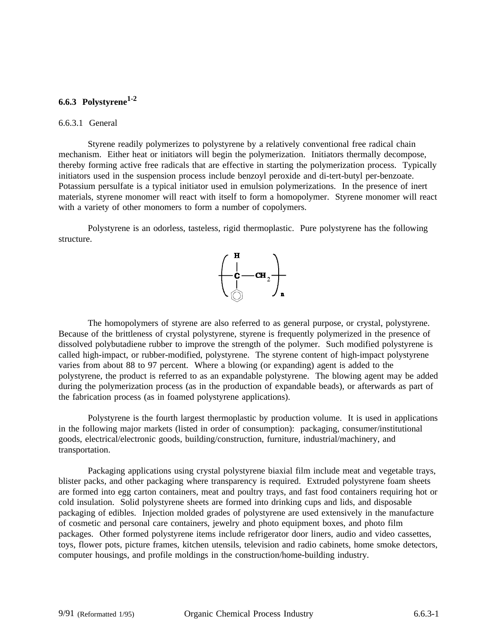## **6.6.3 Polystyrene1-2**

#### 6.6.3.1 General

Styrene readily polymerizes to polystyrene by a relatively conventional free radical chain mechanism. Either heat or initiators will begin the polymerization. Initiators thermally decompose, thereby forming active free radicals that are effective in starting the polymerization process. Typically initiators used in the suspension process include benzoyl peroxide and di-tert-butyl per-benzoate. Potassium persulfate is a typical initiator used in emulsion polymerizations. In the presence of inert materials, styrene monomer will react with itself to form a homopolymer. Styrene monomer will react with a variety of other monomers to form a number of copolymers.

Polystyrene is an odorless, tasteless, rigid thermoplastic. Pure polystyrene has the following structure.



The homopolymers of styrene are also referred to as general purpose, or crystal, polystyrene. Because of the brittleness of crystal polystyrene, styrene is frequently polymerized in the presence of dissolved polybutadiene rubber to improve the strength of the polymer. Such modified polystyrene is called high-impact, or rubber-modified, polystyrene. The styrene content of high-impact polystyrene varies from about 88 to 97 percent. Where a blowing (or expanding) agent is added to the polystyrene, the product is referred to as an expandable polystyrene. The blowing agent may be added during the polymerization process (as in the production of expandable beads), or afterwards as part of the fabrication process (as in foamed polystyrene applications).

Polystyrene is the fourth largest thermoplastic by production volume. It is used in applications in the following major markets (listed in order of consumption): packaging, consumer/institutional goods, electrical/electronic goods, building/construction, furniture, industrial/machinery, and transportation.

Packaging applications using crystal polystyrene biaxial film include meat and vegetable trays, blister packs, and other packaging where transparency is required. Extruded polystyrene foam sheets are formed into egg carton containers, meat and poultry trays, and fast food containers requiring hot or cold insulation. Solid polystyrene sheets are formed into drinking cups and lids, and disposable packaging of edibles. Injection molded grades of polystyrene are used extensively in the manufacture of cosmetic and personal care containers, jewelry and photo equipment boxes, and photo film packages. Other formed polystyrene items include refrigerator door liners, audio and video cassettes, toys, flower pots, picture frames, kitchen utensils, television and radio cabinets, home smoke detectors, computer housings, and profile moldings in the construction/home-building industry.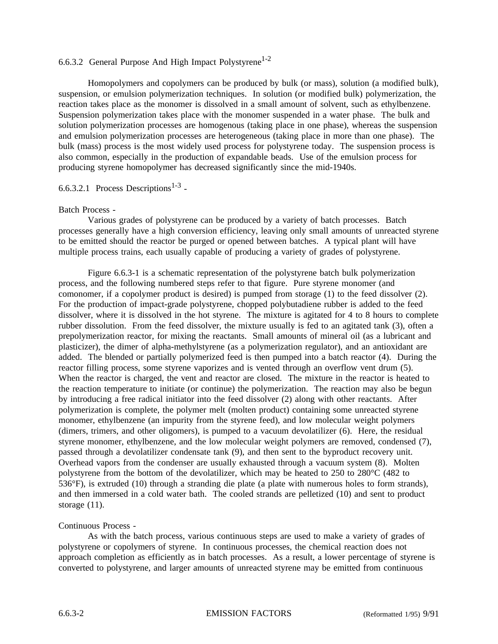### 6.6.3.2 General Purpose And High Impact Polystyrene<sup>1-2</sup>

Homopolymers and copolymers can be produced by bulk (or mass), solution (a modified bulk), suspension, or emulsion polymerization techniques. In solution (or modified bulk) polymerization, the reaction takes place as the monomer is dissolved in a small amount of solvent, such as ethylbenzene. Suspension polymerization takes place with the monomer suspended in a water phase. The bulk and solution polymerization processes are homogenous (taking place in one phase), whereas the suspension and emulsion polymerization processes are heterogeneous (taking place in more than one phase). The bulk (mass) process is the most widely used process for polystyrene today. The suspension process is also common, especially in the production of expandable beads. Use of the emulsion process for producing styrene homopolymer has decreased significantly since the mid-1940s.

## 6.6.3.2.1 Process Descriptions<sup>1-3</sup> -

#### Batch Process -

Various grades of polystyrene can be produced by a variety of batch processes. Batch processes generally have a high conversion efficiency, leaving only small amounts of unreacted styrene to be emitted should the reactor be purged or opened between batches. A typical plant will have multiple process trains, each usually capable of producing a variety of grades of polystyrene.

Figure 6.6.3-1 is a schematic representation of the polystyrene batch bulk polymerization process, and the following numbered steps refer to that figure. Pure styrene monomer (and comonomer, if a copolymer product is desired) is pumped from storage (1) to the feed dissolver (2). For the production of impact-grade polystyrene, chopped polybutadiene rubber is added to the feed dissolver, where it is dissolved in the hot styrene. The mixture is agitated for 4 to 8 hours to complete rubber dissolution. From the feed dissolver, the mixture usually is fed to an agitated tank (3), often a prepolymerization reactor, for mixing the reactants. Small amounts of mineral oil (as a lubricant and plasticizer), the dimer of alpha-methylstyrene (as a polymerization regulator), and an antioxidant are added. The blended or partially polymerized feed is then pumped into a batch reactor (4). During the reactor filling process, some styrene vaporizes and is vented through an overflow vent drum (5). When the reactor is charged, the vent and reactor are closed. The mixture in the reactor is heated to the reaction temperature to initiate (or continue) the polymerization. The reaction may also be begun by introducing a free radical initiator into the feed dissolver (2) along with other reactants. After polymerization is complete, the polymer melt (molten product) containing some unreacted styrene monomer, ethylbenzene (an impurity from the styrene feed), and low molecular weight polymers (dimers, trimers, and other oligomers), is pumped to a vacuum devolatilizer (6). Here, the residual styrene monomer, ethylbenzene, and the low molecular weight polymers are removed, condensed (7), passed through a devolatilizer condensate tank (9), and then sent to the byproduct recovery unit. Overhead vapors from the condenser are usually exhausted through a vacuum system (8). Molten polystyrene from the bottom of the devolatilizer, which may be heated to 250 to 280°C (482 to 536°F), is extruded (10) through a stranding die plate (a plate with numerous holes to form strands), and then immersed in a cold water bath. The cooled strands are pelletized (10) and sent to product storage  $(11)$ .

#### Continuous Process -

As with the batch process, various continuous steps are used to make a variety of grades of polystyrene or copolymers of styrene. In continuous processes, the chemical reaction does not approach completion as efficiently as in batch processes. As a result, a lower percentage of styrene is converted to polystyrene, and larger amounts of unreacted styrene may be emitted from continuous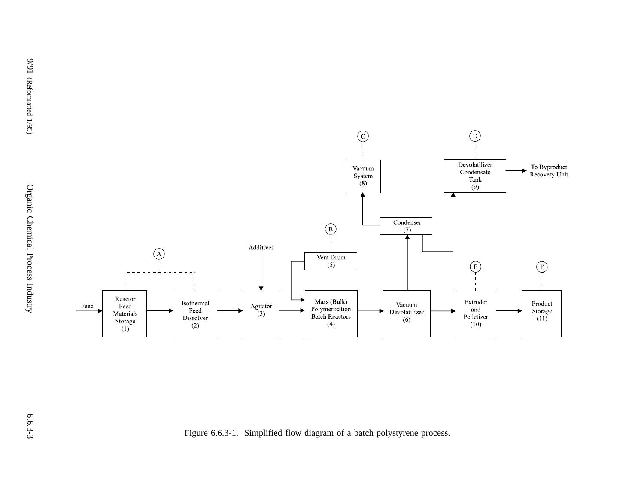

Figure 6.6.3-1. Simplified flow diagram of <sup>a</sup> batch polystyrene process.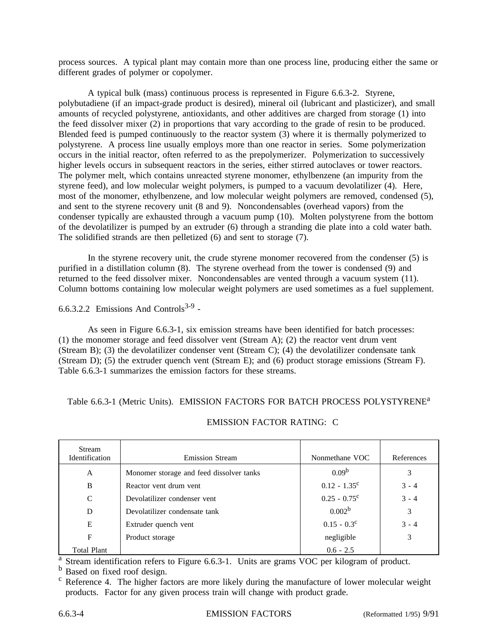process sources. A typical plant may contain more than one process line, producing either the same or different grades of polymer or copolymer.

A typical bulk (mass) continuous process is represented in Figure 6.6.3-2. Styrene, polybutadiene (if an impact-grade product is desired), mineral oil (lubricant and plasticizer), and small amounts of recycled polystyrene, antioxidants, and other additives are charged from storage (1) into the feed dissolver mixer (2) in proportions that vary according to the grade of resin to be produced. Blended feed is pumped continuously to the reactor system (3) where it is thermally polymerized to polystyrene. A process line usually employs more than one reactor in series. Some polymerization occurs in the initial reactor, often referred to as the prepolymerizer. Polymerization to successively higher levels occurs in subsequent reactors in the series, either stirred autoclaves or tower reactors. The polymer melt, which contains unreacted styrene monomer, ethylbenzene (an impurity from the styrene feed), and low molecular weight polymers, is pumped to a vacuum devolatilizer (4). Here, most of the monomer, ethylbenzene, and low molecular weight polymers are removed, condensed (5), and sent to the styrene recovery unit (8 and 9). Noncondensables (overhead vapors) from the condenser typically are exhausted through a vacuum pump (10). Molten polystyrene from the bottom of the devolatilizer is pumped by an extruder (6) through a stranding die plate into a cold water bath. The solidified strands are then pelletized (6) and sent to storage (7).

In the styrene recovery unit, the crude styrene monomer recovered from the condenser (5) is purified in a distillation column (8). The styrene overhead from the tower is condensed (9) and returned to the feed dissolver mixer. Noncondensables are vented through a vacuum system (11). Column bottoms containing low molecular weight polymers are used sometimes as a fuel supplement.

6.6.3.2.2 Emissions And Controls<sup>3-9</sup> -

As seen in Figure 6.6.3-1, six emission streams have been identified for batch processes: (1) the monomer storage and feed dissolver vent (Stream A); (2) the reactor vent drum vent (Stream B); (3) the devolatilizer condenser vent (Stream C); (4) the devolatilizer condensate tank (Stream D); (5) the extruder quench vent (Stream E); and (6) product storage emissions (Stream F). Table 6.6.3-1 summarizes the emission factors for these streams.

Table 6.6.3-1 (Metric Units). EMISSION FACTORS FOR BATCH PROCESS POLYSTYRENE<sup>a</sup>

| <b>Stream</b><br>Identification | <b>Emission Stream</b>                   | Nonmethane VOC     | References |
|---------------------------------|------------------------------------------|--------------------|------------|
| A                               | Monomer storage and feed dissolver tanks | 0.09 <sup>b</sup>  | 3          |
| B                               | Reactor vent drum vent                   | $0.12 - 1.35^c$    | $3 - 4$    |
| C                               | Devolatilizer condenser vent             | $0.25 - 0.75^c$    | $3 - 4$    |
| D                               | Devolatilizer condensate tank            | 0.002 <sup>b</sup> | 3          |
| E                               | Extruder quench vent                     | $0.15 - 0.3^c$     | $3 - 4$    |
| F                               | Product storage                          | negligible         | 3          |
| <b>Total Plant</b>              |                                          | $0.6 - 2.5$        |            |

#### EMISSION FACTOR RATING: C

a Stream identification refers to Figure 6.6.3-1. Units are grams VOC per kilogram of product.<br>
b Based on fixed roof design.<br>
c Reference 4. The higher factors are more likely during the manufacture of lower molecular we products. Factor for any given process train will change with product grade.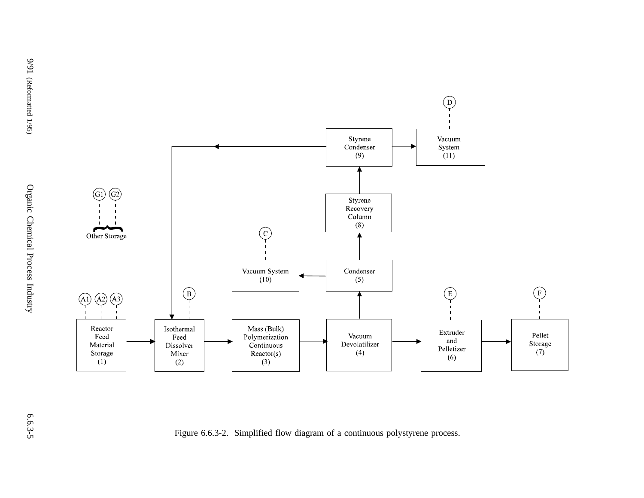

Figure 6.6.3-2. Simplified flow diagram of <sup>a</sup> continuous polystyrene process.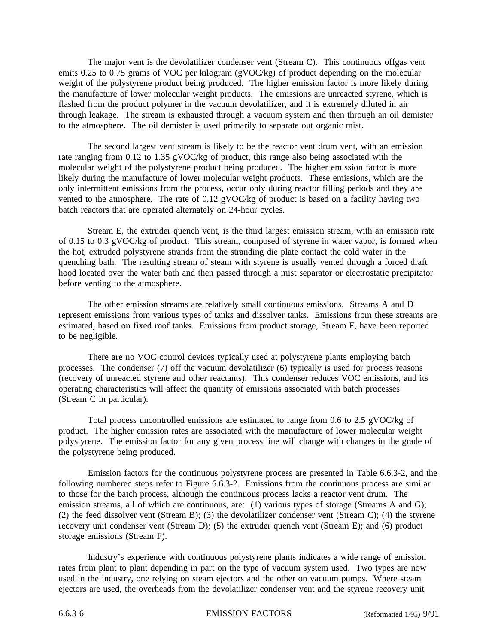The major vent is the devolatilizer condenser vent (Stream C). This continuous offgas vent emits 0.25 to 0.75 grams of VOC per kilogram (gVOC/kg) of product depending on the molecular weight of the polystyrene product being produced. The higher emission factor is more likely during the manufacture of lower molecular weight products. The emissions are unreacted styrene, which is flashed from the product polymer in the vacuum devolatilizer, and it is extremely diluted in air through leakage. The stream is exhausted through a vacuum system and then through an oil demister to the atmosphere. The oil demister is used primarily to separate out organic mist.

The second largest vent stream is likely to be the reactor vent drum vent, with an emission rate ranging from 0.12 to 1.35 gVOC/kg of product, this range also being associated with the molecular weight of the polystyrene product being produced. The higher emission factor is more likely during the manufacture of lower molecular weight products. These emissions, which are the only intermittent emissions from the process, occur only during reactor filling periods and they are vented to the atmosphere. The rate of 0.12 gVOC/kg of product is based on a facility having two batch reactors that are operated alternately on 24-hour cycles.

Stream E, the extruder quench vent, is the third largest emission stream, with an emission rate of 0.15 to 0.3 gVOC/kg of product. This stream, composed of styrene in water vapor, is formed when the hot, extruded polystyrene strands from the stranding die plate contact the cold water in the quenching bath. The resulting stream of steam with styrene is usually vented through a forced draft hood located over the water bath and then passed through a mist separator or electrostatic precipitator before venting to the atmosphere.

The other emission streams are relatively small continuous emissions. Streams A and D represent emissions from various types of tanks and dissolver tanks. Emissions from these streams are estimated, based on fixed roof tanks. Emissions from product storage, Stream F, have been reported to be negligible.

There are no VOC control devices typically used at polystyrene plants employing batch processes. The condenser (7) off the vacuum devolatilizer (6) typically is used for process reasons (recovery of unreacted styrene and other reactants). This condenser reduces VOC emissions, and its operating characteristics will affect the quantity of emissions associated with batch processes (Stream C in particular).

Total process uncontrolled emissions are estimated to range from 0.6 to 2.5 gVOC/kg of product. The higher emission rates are associated with the manufacture of lower molecular weight polystyrene. The emission factor for any given process line will change with changes in the grade of the polystyrene being produced.

Emission factors for the continuous polystyrene process are presented in Table 6.6.3-2, and the following numbered steps refer to Figure 6.6.3-2. Emissions from the continuous process are similar to those for the batch process, although the continuous process lacks a reactor vent drum. The emission streams, all of which are continuous, are: (1) various types of storage (Streams A and G); (2) the feed dissolver vent (Stream B); (3) the devolatilizer condenser vent (Stream C); (4) the styrene recovery unit condenser vent (Stream D); (5) the extruder quench vent (Stream E); and (6) product storage emissions (Stream F).

Industry's experience with continuous polystyrene plants indicates a wide range of emission rates from plant to plant depending in part on the type of vacuum system used. Two types are now used in the industry, one relying on steam ejectors and the other on vacuum pumps. Where steam ejectors are used, the overheads from the devolatilizer condenser vent and the styrene recovery unit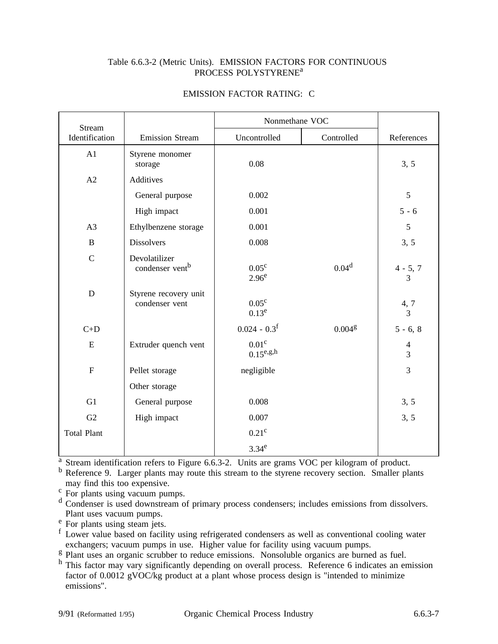#### Table 6.6.3-2 (Metric Units). EMISSION FACTORS FOR CONTINUOUS PROCESS POLYSTYRENE<sup>a</sup>

| <b>Stream</b>      |                                              | Nonmethane VOC                                           |                    |                                         |
|--------------------|----------------------------------------------|----------------------------------------------------------|--------------------|-----------------------------------------|
| Identification     | <b>Emission Stream</b>                       | Uncontrolled                                             | Controlled         | References                              |
| A1                 | Styrene monomer<br>storage                   | 0.08                                                     |                    | 3, 5                                    |
| A2                 | Additives                                    |                                                          |                    |                                         |
|                    | General purpose                              | 0.002                                                    |                    | $\sqrt{5}$                              |
|                    | High impact                                  | 0.001                                                    |                    | $5 - 6$                                 |
| A3                 | Ethylbenzene storage                         | 0.001                                                    |                    | 5                                       |
| $\, {\bf B}$       | <b>Dissolvers</b>                            | 0.008                                                    |                    | 3, 5                                    |
| $\mathcal{C}$      | Devolatilizer<br>condenser vent <sup>b</sup> | $0.05^{\circ}$<br>2.96 <sup>e</sup>                      | 0.04 <sup>d</sup>  | $4 - 5, 7$<br>3                         |
| ${\bf D}$          | Styrene recovery unit<br>condenser vent      | $0.05^{\circ}$<br>$0.13^e$                               |                    | $\begin{array}{c} 4,7 \\ 3 \end{array}$ |
| $C+D$              |                                              | $0.024 - 0.3$ <sup>f</sup>                               | 0.004 <sup>g</sup> | $5 - 6, 8$                              |
| ${\bf E}$          | Extruder quench vent                         | 0.01 <sup>c</sup><br>$0.15^{\text{e},\text{g},\text{h}}$ |                    | $\overline{4}$<br>3                     |
| $\overline{F}$     | Pellet storage                               | negligible                                               |                    | 3                                       |
|                    | Other storage                                |                                                          |                    |                                         |
| G1                 | General purpose                              | 0.008                                                    |                    | 3, 5                                    |
| G2                 | High impact                                  | 0.007                                                    |                    | 3, 5                                    |
| <b>Total Plant</b> |                                              | $0.21^{\circ}$                                           |                    |                                         |
|                    |                                              | 3.34 <sup>e</sup>                                        |                    |                                         |

### EMISSION FACTOR RATING: C

<sup>a</sup> Stream identification refers to Figure 6.6.3-2. Units are grams VOC per kilogram of product.

b Reference 9. Larger plants may route this stream to the styrene recovery section. Smaller plants may find this too expensive.

 $\frac{c}{d}$  For plants using vacuum pumps.<br>d Condenser is used downstream of primary process condensers; includes emissions from dissolvers.<br>Plant uses vacuum pumps.

 $P$ <sup>e</sup> For plants using steam jets.<br><sup>f</sup> Lower value based on facility using refrigerated condensers as well as conventional cooling water exchangers; vacuum pumps in use. Higher value for facility using vacuum pumps.<br><sup>g</sup> Plant uses an organic scrubber to reduce emissions. Nonsoluble organics are burned as fuel.

 $<sup>h</sup>$  This factor may vary significantly depending on overall process. Reference 6 indicates an emission</sup> factor of 0.0012 gVOC/kg product at a plant whose process design is "intended to minimize emissions".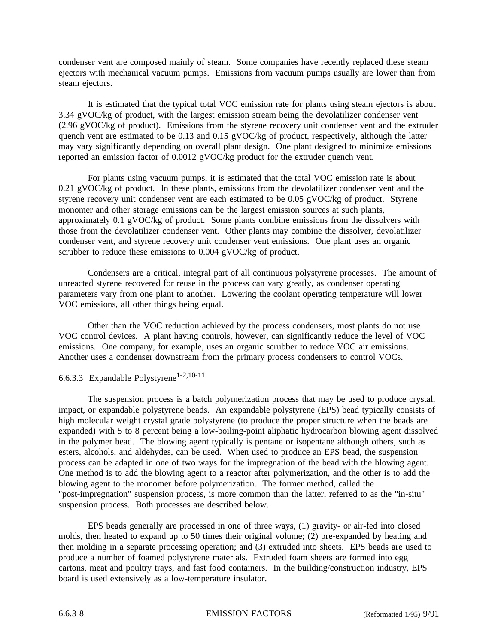condenser vent are composed mainly of steam. Some companies have recently replaced these steam ejectors with mechanical vacuum pumps. Emissions from vacuum pumps usually are lower than from steam ejectors.

It is estimated that the typical total VOC emission rate for plants using steam ejectors is about 3.34 gVOC/kg of product, with the largest emission stream being the devolatilizer condenser vent (2.96 gVOC/kg of product). Emissions from the styrene recovery unit condenser vent and the extruder quench vent are estimated to be 0.13 and 0.15 gVOC/kg of product, respectively, although the latter may vary significantly depending on overall plant design. One plant designed to minimize emissions reported an emission factor of 0.0012 gVOC/kg product for the extruder quench vent.

For plants using vacuum pumps, it is estimated that the total VOC emission rate is about 0.21 gVOC/kg of product. In these plants, emissions from the devolatilizer condenser vent and the styrene recovery unit condenser vent are each estimated to be 0.05 gVOC/kg of product. Styrene monomer and other storage emissions can be the largest emission sources at such plants, approximately 0.1 gVOC/kg of product. Some plants combine emissions from the dissolvers with those from the devolatilizer condenser vent. Other plants may combine the dissolver, devolatilizer condenser vent, and styrene recovery unit condenser vent emissions. One plant uses an organic scrubber to reduce these emissions to 0.004 gVOC/kg of product.

Condensers are a critical, integral part of all continuous polystyrene processes. The amount of unreacted styrene recovered for reuse in the process can vary greatly, as condenser operating parameters vary from one plant to another. Lowering the coolant operating temperature will lower VOC emissions, all other things being equal.

Other than the VOC reduction achieved by the process condensers, most plants do not use VOC control devices. A plant having controls, however, can significantly reduce the level of VOC emissions. One company, for example, uses an organic scrubber to reduce VOC air emissions. Another uses a condenser downstream from the primary process condensers to control VOCs.

# 6.6.3.3 Expandable Polystyrene<sup>1-2,10-11</sup>

The suspension process is a batch polymerization process that may be used to produce crystal, impact, or expandable polystyrene beads. An expandable polystyrene (EPS) bead typically consists of high molecular weight crystal grade polystyrene (to produce the proper structure when the beads are expanded) with 5 to 8 percent being a low-boiling-point aliphatic hydrocarbon blowing agent dissolved in the polymer bead. The blowing agent typically is pentane or isopentane although others, such as esters, alcohols, and aldehydes, can be used. When used to produce an EPS bead, the suspension process can be adapted in one of two ways for the impregnation of the bead with the blowing agent. One method is to add the blowing agent to a reactor after polymerization, and the other is to add the blowing agent to the monomer before polymerization. The former method, called the "post-impregnation" suspension process, is more common than the latter, referred to as the "in-situ" suspension process. Both processes are described below.

EPS beads generally are processed in one of three ways, (1) gravity- or air-fed into closed molds, then heated to expand up to 50 times their original volume; (2) pre-expanded by heating and then molding in a separate processing operation; and (3) extruded into sheets. EPS beads are used to produce a number of foamed polystyrene materials. Extruded foam sheets are formed into egg cartons, meat and poultry trays, and fast food containers. In the building/construction industry, EPS board is used extensively as a low-temperature insulator.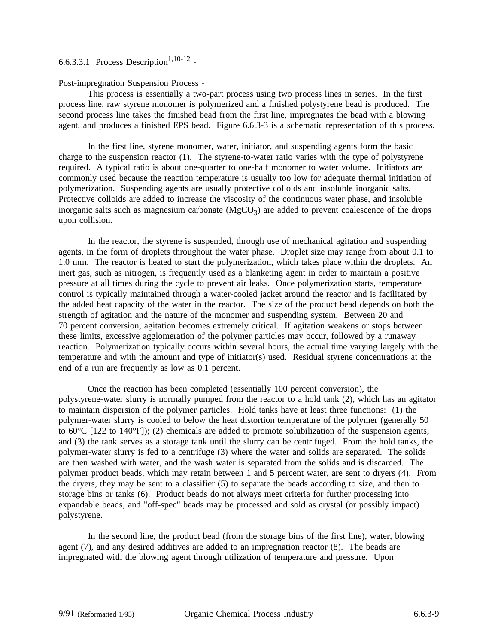## 6.6.3.3.1 Process Description<sup>1,10-12</sup> -

Post-impregnation Suspension Process -

This process is essentially a two-part process using two process lines in series. In the first process line, raw styrene monomer is polymerized and a finished polystyrene bead is produced. The second process line takes the finished bead from the first line, impregnates the bead with a blowing agent, and produces a finished EPS bead. Figure 6.6.3-3 is a schematic representation of this process.

In the first line, styrene monomer, water, initiator, and suspending agents form the basic charge to the suspension reactor (1). The styrene-to-water ratio varies with the type of polystyrene required. A typical ratio is about one-quarter to one-half monomer to water volume. Initiators are commonly used because the reaction temperature is usually too low for adequate thermal initiation of polymerization. Suspending agents are usually protective colloids and insoluble inorganic salts. Protective colloids are added to increase the viscosity of the continuous water phase, and insoluble inorganic salts such as magnesium carbonate  $(MgCO<sub>3</sub>)$  are added to prevent coalescence of the drops upon collision.

In the reactor, the styrene is suspended, through use of mechanical agitation and suspending agents, in the form of droplets throughout the water phase. Droplet size may range from about 0.1 to 1.0 mm. The reactor is heated to start the polymerization, which takes place within the droplets. An inert gas, such as nitrogen, is frequently used as a blanketing agent in order to maintain a positive pressure at all times during the cycle to prevent air leaks. Once polymerization starts, temperature control is typically maintained through a water-cooled jacket around the reactor and is facilitated by the added heat capacity of the water in the reactor. The size of the product bead depends on both the strength of agitation and the nature of the monomer and suspending system. Between 20 and 70 percent conversion, agitation becomes extremely critical. If agitation weakens or stops between these limits, excessive agglomeration of the polymer particles may occur, followed by a runaway reaction. Polymerization typically occurs within several hours, the actual time varying largely with the temperature and with the amount and type of initiator(s) used. Residual styrene concentrations at the end of a run are frequently as low as 0.1 percent.

Once the reaction has been completed (essentially 100 percent conversion), the polystyrene-water slurry is normally pumped from the reactor to a hold tank (2), which has an agitator to maintain dispersion of the polymer particles. Hold tanks have at least three functions: (1) the polymer-water slurry is cooled to below the heat distortion temperature of the polymer (generally 50 to 60 $^{\circ}$ C [122 to 140 $^{\circ}$ F]); (2) chemicals are added to promote solubilization of the suspension agents; and (3) the tank serves as a storage tank until the slurry can be centrifuged. From the hold tanks, the polymer-water slurry is fed to a centrifuge (3) where the water and solids are separated. The solids are then washed with water, and the wash water is separated from the solids and is discarded. The polymer product beads, which may retain between 1 and 5 percent water, are sent to dryers (4). From the dryers, they may be sent to a classifier (5) to separate the beads according to size, and then to storage bins or tanks (6). Product beads do not always meet criteria for further processing into expandable beads, and "off-spec" beads may be processed and sold as crystal (or possibly impact) polystyrene.

In the second line, the product bead (from the storage bins of the first line), water, blowing agent (7), and any desired additives are added to an impregnation reactor (8). The beads are impregnated with the blowing agent through utilization of temperature and pressure. Upon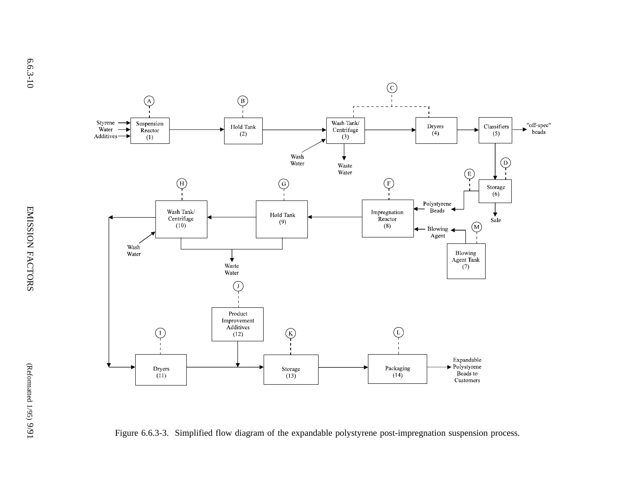

Figure 6.6.3-3. Simplified flow diagram of the expandable polystyrene post-impregnation suspension process.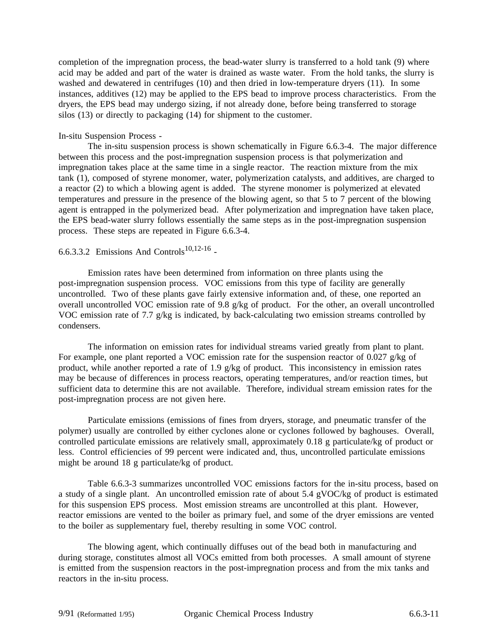completion of the impregnation process, the bead-water slurry is transferred to a hold tank (9) where acid may be added and part of the water is drained as waste water. From the hold tanks, the slurry is washed and dewatered in centrifuges (10) and then dried in low-temperature dryers (11). In some instances, additives (12) may be applied to the EPS bead to improve process characteristics. From the dryers, the EPS bead may undergo sizing, if not already done, before being transferred to storage silos (13) or directly to packaging (14) for shipment to the customer.

#### In-situ Suspension Process -

The in-situ suspension process is shown schematically in Figure 6.6.3-4. The major difference between this process and the post-impregnation suspension process is that polymerization and impregnation takes place at the same time in a single reactor. The reaction mixture from the mix tank (1), composed of styrene monomer, water, polymerization catalysts, and additives, are charged to a reactor (2) to which a blowing agent is added. The styrene monomer is polymerized at elevated temperatures and pressure in the presence of the blowing agent, so that 5 to 7 percent of the blowing agent is entrapped in the polymerized bead. After polymerization and impregnation have taken place, the EPS bead-water slurry follows essentially the same steps as in the post-impregnation suspension process. These steps are repeated in Figure 6.6.3-4.

## 6.6.3.3.2 Emissions And Controls<sup>10,12-16</sup> -

Emission rates have been determined from information on three plants using the post-impregnation suspension process. VOC emissions from this type of facility are generally uncontrolled. Two of these plants gave fairly extensive information and, of these, one reported an overall uncontrolled VOC emission rate of 9.8 g/kg of product. For the other, an overall uncontrolled VOC emission rate of 7.7 g/kg is indicated, by back-calculating two emission streams controlled by condensers.

The information on emission rates for individual streams varied greatly from plant to plant. For example, one plant reported a VOC emission rate for the suspension reactor of 0.027 g/kg of product, while another reported a rate of 1.9 g/kg of product. This inconsistency in emission rates may be because of differences in process reactors, operating temperatures, and/or reaction times, but sufficient data to determine this are not available. Therefore, individual stream emission rates for the post-impregnation process are not given here.

Particulate emissions (emissions of fines from dryers, storage, and pneumatic transfer of the polymer) usually are controlled by either cyclones alone or cyclones followed by baghouses. Overall, controlled particulate emissions are relatively small, approximately 0.18 g particulate/kg of product or less. Control efficiencies of 99 percent were indicated and, thus, uncontrolled particulate emissions might be around 18 g particulate/kg of product.

Table 6.6.3-3 summarizes uncontrolled VOC emissions factors for the in-situ process, based on a study of a single plant. An uncontrolled emission rate of about 5.4 gVOC/kg of product is estimated for this suspension EPS process. Most emission streams are uncontrolled at this plant. However, reactor emissions are vented to the boiler as primary fuel, and some of the dryer emissions are vented to the boiler as supplementary fuel, thereby resulting in some VOC control.

The blowing agent, which continually diffuses out of the bead both in manufacturing and during storage, constitutes almost all VOCs emitted from both processes. A small amount of styrene is emitted from the suspension reactors in the post-impregnation process and from the mix tanks and reactors in the in-situ process.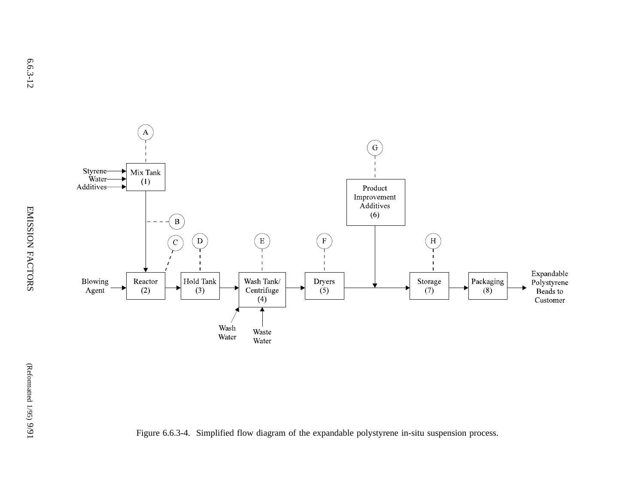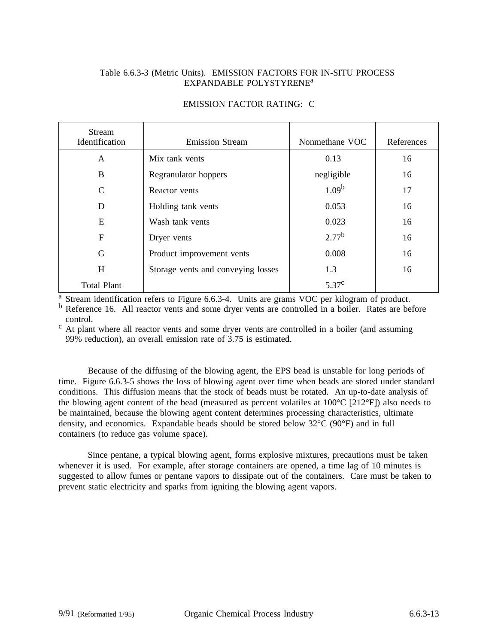### Table 6.6.3-3 (Metric Units). EMISSION FACTORS FOR IN-SITU PROCESS EXPANDABLE POLYSTYRENE<sup>a</sup>

#### EMISSION FACTOR RATING: C

| <b>Stream</b><br>Identification | <b>Emission Stream</b>             | Nonmethane VOC    | References |
|---------------------------------|------------------------------------|-------------------|------------|
| A                               | Mix tank vents                     | 0.13              | 16         |
| B                               | Regranulator hoppers               | negligible        | 16         |
| $\mathsf{C}$                    | Reactor vents                      | 1.09 <sup>b</sup> | 17         |
| D                               | Holding tank vents                 | 0.053             | 16         |
| E                               | Wash tank vents                    | 0.023             | 16         |
| $\mathbf F$                     | Dryer vents                        | $2.77^{b}$        | 16         |
| G                               | Product improvement vents          | 0.008             | 16         |
| H                               | Storage vents and conveying losses | 1.3               | 16         |
| <b>Total Plant</b>              |                                    | 5.37 <sup>c</sup> |            |

 $\frac{a}{b}$  Stream identification refers to Figure 6.6.3-4. Units are grams VOC per kilogram of product.<br>  $\frac{b}{c}$  Reference 16. All reactor vents and some dryer vents are controlled in a boiler. Rates are before

control.<br><sup>c</sup> At plant where all reactor vents and some dryer vents are controlled in a boiler (and assuming 99% reduction), an overall emission rate of 3.75 is estimated.

Because of the diffusing of the blowing agent, the EPS bead is unstable for long periods of time. Figure 6.6.3-5 shows the loss of blowing agent over time when beads are stored under standard conditions. This diffusion means that the stock of beads must be rotated. An up-to-date analysis of the blowing agent content of the bead (measured as percent volatiles at 100°C [212°F]) also needs to be maintained, because the blowing agent content determines processing characteristics, ultimate density, and economics. Expandable beads should be stored below 32°C (90°F) and in full containers (to reduce gas volume space).

Since pentane, a typical blowing agent, forms explosive mixtures, precautions must be taken whenever it is used. For example, after storage containers are opened, a time lag of 10 minutes is suggested to allow fumes or pentane vapors to dissipate out of the containers. Care must be taken to prevent static electricity and sparks from igniting the blowing agent vapors.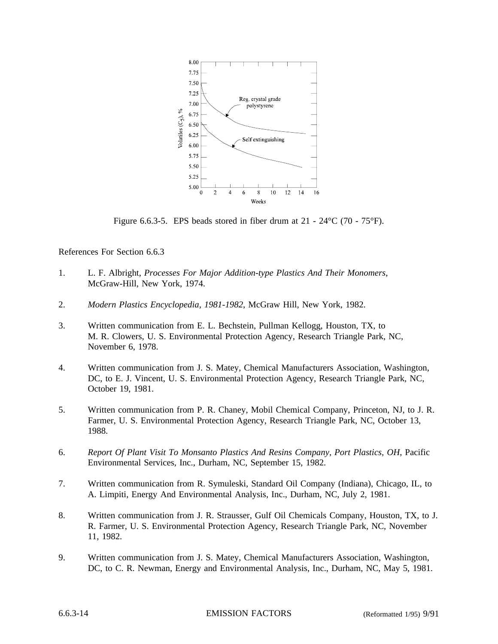

Figure 6.6.3-5. EPS beads stored in fiber drum at  $21 - 24$ °C (70 - 75°F).

References For Section 6.6.3

- 1. L. F. Albright, *Processes For Major Addition-type Plastics And Their Monomers*, McGraw-Hill, New York, 1974.
- 2. *Modern Plastics Encyclopedia, 1981-1982*, McGraw Hill, New York, 1982.
- 3. Written communication from E. L. Bechstein, Pullman Kellogg, Houston, TX, to M. R. Clowers, U. S. Environmental Protection Agency, Research Triangle Park, NC, November 6, 1978.
- 4. Written communication from J. S. Matey, Chemical Manufacturers Association, Washington, DC, to E. J. Vincent, U. S. Environmental Protection Agency, Research Triangle Park, NC, October 19, 1981.
- 5. Written communication from P. R. Chaney, Mobil Chemical Company, Princeton, NJ, to J. R. Farmer, U. S. Environmental Protection Agency, Research Triangle Park, NC, October 13, 1988.
- 6. *Report Of Plant Visit To Monsanto Plastics And Resins Company, Port Plastics, OH*, Pacific Environmental Services, Inc., Durham, NC, September 15, 1982.
- 7. Written communication from R. Symuleski, Standard Oil Company (Indiana), Chicago, IL, to A. Limpiti, Energy And Environmental Analysis, Inc., Durham, NC, July 2, 1981.
- 8. Written communication from J. R. Strausser, Gulf Oil Chemicals Company, Houston, TX, to J. R. Farmer, U. S. Environmental Protection Agency, Research Triangle Park, NC, November 11, 1982.
- 9. Written communication from J. S. Matey, Chemical Manufacturers Association, Washington, DC, to C. R. Newman, Energy and Environmental Analysis, Inc., Durham, NC, May 5, 1981.